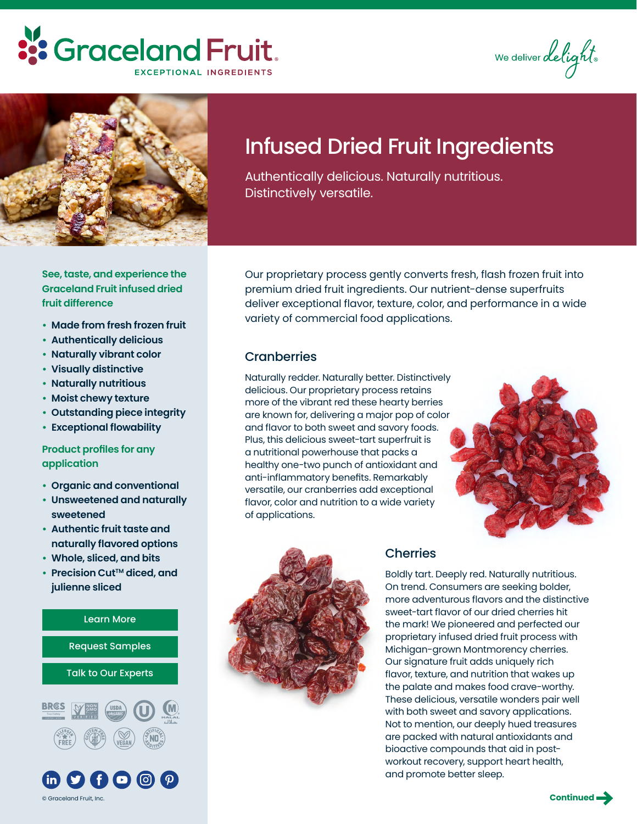# :'s Graceland Fruit. **EXCEPTIONAL INGREDIENTS**

We deliver delight.



# Infused Dried Fruit Ingredients

Authentically delicious. Naturally nutritious. Distinctively versatile.

**See, taste, and experience the Graceland Fruit infused dried fruit difference**

- **• Made from fresh frozen fruit**
- **• Authentically delicious**
- **• Naturally vibrant color**
- **• Visually distinctive**
- **• Naturally nutritious**
- **• Moist chewy texture**
- **• Outstanding piece integrity**
- **• Exceptional flowability**

### **Product profiles for any application**

- **• Organic and conventional**
- **• Unsweetened and naturally sweetened**
- **• Authentic fruit taste and naturally flavored options**
- **• Whole, sliced, and bits**
- **•** Precision Cut™ diced, and **julienne sliced**



Our proprietary process gently converts fresh, flash frozen fruit into premium dried fruit ingredients. Our nutrient-dense superfruits deliver exceptional flavor, texture, color, and performance in a wide variety of commercial food applications.

## **Cranberries**

Naturally redder. Naturally better. Distinctively delicious. Our proprietary process retains more of the vibrant red these hearty berries are known for, delivering a major pop of color and flavor to both sweet and savory foods. Plus, this delicious sweet-tart superfruit is a nutritional powerhouse that packs a healthy one-two punch of antioxidant and anti-inflammatory benefits. Remarkably versatile, our cranberries add exceptional flavor, color and nutrition to a wide variety of applications.





## **Cherries**

Boldly tart. Deeply red. Naturally nutritious. On trend. Consumers are seeking bolder, more adventurous flavors and the distinctive sweet-tart flavor of our dried cherries hit the mark! We pioneered and perfected our proprietary infused dried fruit process with Michigan-grown Montmorency cherries. Our signature fruit adds uniquely rich flavor, texture, and nutrition that wakes up the palate and makes food crave-worthy. These delicious, versatile wonders pair well with both sweet and savory applications. Not to mention, our deeply hued treasures are packed with natural antioxidants and bioactive compounds that aid in postworkout recovery, support heart health, and promote better sleep.